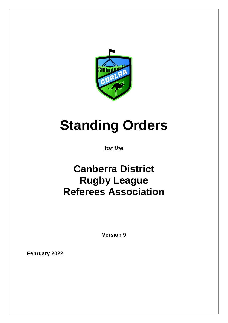

# **Standing Orders**

## *for the*

# **Canberra District Rugby League Referees Association**

**Version 9**

**February 2022**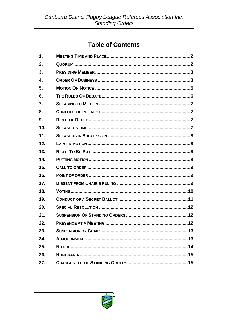## **Table of Contents**

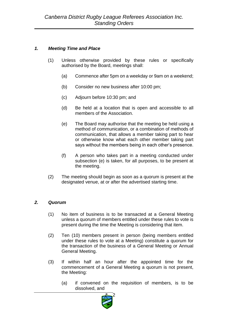#### *1. Meeting Time and Place*

- (1) Unless otherwise provided by these rules or specifically authorised by the Board, meetings shall:
	- (a) Commence after 5pm on a weekday or 9am on a weekend;
	- (b) Consider no new business after 10:00 pm;
	- (c) Adjourn before 10:30 pm; and
	- (d) Be held at a location that is open and accessible to all members of the Association.
	- (e) The Board may authorise that the meeting be held using a method of communication, or a combination of methods of communication, that allows a member taking part to hear or otherwise know what each other member taking part says without the members being in each other's presence.
	- (f) A person who takes part in a meeting conducted under subsection (e) is taken, for all purposes, to be present at the meeting.
- (2) The meeting should begin as soon as a quorum is present at the designated venue, at or after the advertised starting time.

#### *2. Quorum*

- (1) No item of business is to be transacted at a General Meeting unless a quorum of members entitled under these rules to vote is present during the time the Meeting is considering that item.
- (2) Ten (10) members present in person (being members entitled under these rules to vote at a Meeting) constitute a quorum for the transaction of the business of a General Meeting or Annual General Meeting.
- (3) If within half an hour after the appointed time for the commencement of a General Meeting a quorum is not present, the Meeting:
	- (a) if convened on the requisition of members, is to be dissolved, and

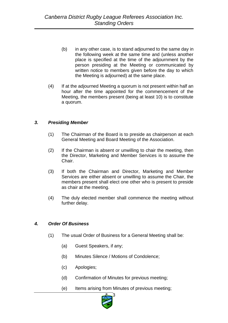- (b) in any other case, is to stand adjourned to the same day in the following week at the same time and (unless another place is specified at the time of the adjournment by the person presiding at the Meeting or communicated by written notice to members given before the day to which the Meeting is adjourned) at the same place.
- (4) If at the adjourned Meeting a quorum is not present within half an hour after the time appointed for the commencement of the Meeting, the members present (being at least 10) is to constitute a quorum.

#### *3. Presiding Member*

- (1) The Chairman of the Board is to preside as chairperson at each General Meeting and Board Meeting of the Association.
- (2) If the Chairman is absent or unwilling to chair the meeting, then the Director, Marketing and Member Services is to assume the Chair.
- (3) If both the Chairman and Director, Marketing and Member Services are either absent or unwilling to assume the Chair, the members present shall elect one other who is present to preside as chair at the meeting.
- (4) The duly elected member shall commence the meeting without further delay.

#### *4. Order Of Business*

- (1) The usual Order of Business for a General Meeting shall be:
	- (a) Guest Speakers, if any;
	- (b) Minutes Silence / Motions of Condolence;
	- (c) Apologies;
	- (d) Confirmation of Minutes for previous meeting;
	- (e) Items arising from Minutes of previous meeting;

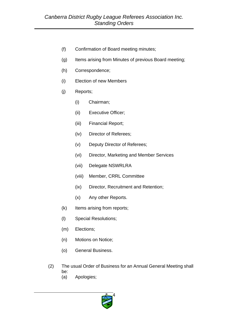- (f) Confirmation of Board meeting minutes;
- (g) Items arising from Minutes of previous Board meeting;
- (h) Correspondence;
- (i) Election of new Members
- (j) Reports;
	- (i) Chairman;
	- (ii) Executive Officer;
	- (iii) Financial Report;
	- (iv) Director of Referees;
	- (v) Deputy Director of Referees;
	- (vi) Director, Marketing and Member Services
	- (vii) Delegate NSWRLRA
	- (viii) Member, CRRL Committee
	- (ix) Director, Recruitment and Retention;
	- (x) Any other Reports.
- (k) Items arising from reports;
- (l) Special Resolutions;
- (m) Elections;
- (n) Motions on Notice;
- (o) General Business.
- (2) The usual Order of Business for an Annual General Meeting shall be:
	- (a) Apologies;

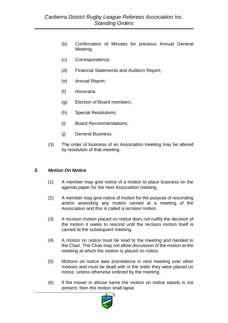- (b) Confirmation of Minutes for previous Annual General Meeting;
- (c) Correspondence;
- (d) Financial Statements and Auditors Report;
- (e) Annual Report;
- (f) Honoraria
- (g) Election of Board members;
- (h) Special Resolutions;
- (i) Board Recommendations;
- (j) General Business.
- (3) The order of business of an Association meeting may be altered by resolution of that meeting.

#### *5. Motion On Notice*

- (1) A member may give notice of a motion to place business on the agenda paper for the next Association meeting.
- (2) A member may give notice of motion for the purpose of rescinding and/or amending any motion carried at a meeting of the Association and this is called a recision motion.
- (3) A recision motion placed on notice does not nullify the decision of the motion it seeks to rescind until the recision motion itself is carried at the subsequent meeting.
- (4) A motion on notice must be read to the meeting and handed to the Chair. The Chair may not allow discussion of the motion at the meeting at which the motion is placed on notice.
- (5) Motions on notice take precedence in next meeting over other motions and must be dealt with in the order they were placed on notice, unless otherwise ordered by the meeting.
- (6) If the mover in whose name the motion on notice stands is not present, then the motion shall lapse.

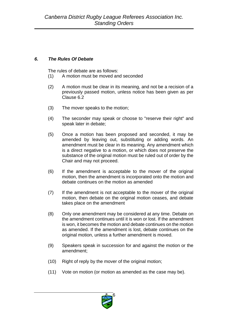#### *6. The Rules Of Debate*

The rules of debate are as follows:

- (1) A motion must be moved and seconded
- (2) A motion must be clear in its meaning, and not be a recision of a previously passed motion, unless notice has been given as per Clause 6.2
- (3) The mover speaks to the motion;
- (4) The seconder may speak or choose to "reserve their right" and speak later in debate;
- (5) Once a motion has been proposed and seconded, it may be amended by leaving out, substituting or adding words. An amendment must be clear in its meaning. Any amendment which is a direct negative to a motion, or which does not preserve the substance of the original motion must be ruled out of order by the Chair and may not proceed.
- (6) If the amendment is acceptable to the mover of the original motion, then the amendment is incorporated onto the motion and debate continues on the motion as amended
- (7) If the amendment is not acceptable to the mover of the original motion, then debate on the original motion ceases, and debate takes place on the amendment
- (8) Only one amendment may be considered at any time. Debate on the amendment continues until it is won or lost. If the amendment is won, it becomes the motion and debate continues on the motion as amended. If the amendment is lost, debate continues on the original motion, unless a further amendment is moved.
- (9) Speakers speak in succession for and against the motion or the amendment;
- (10) Right of reply by the mover of the original motion;
- (11) Vote on motion (or motion as amended as the case may be).

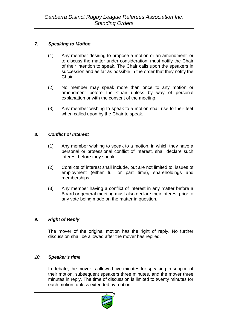#### *7. Speaking to Motion*

- (1) Any member desiring to propose a motion or an amendment, or to discuss the matter under consideration, must notify the Chair of their intention to speak. The Chair calls upon the speakers in succession and as far as possible in the order that they notify the Chair.
- (2) No member may speak more than once to any motion or amendment before the Chair unless by way of personal explanation or with the consent of the meeting.
- (3) Any member wishing to speak to a motion shall rise to their feet when called upon by the Chair to speak.

#### *8. Conflict of Interest*

- (1) Any member wishing to speak to a motion, in which they have a personal or professional conflict of interest, shall declare such interest before they speak.
- (2) Conflicts of interest shall include, but are not limited to, issues of employment (either full or part time), shareholdings and memberships.
- (3) Any member having a conflict of interest in any matter before a Board or general meeting must also declare their interest prior to any vote being made on the matter in question.

#### *9. Right of Reply*

The mover of the original motion has the right of reply. No further discussion shall be allowed after the mover has replied.

#### *10. Speaker's time*

In debate, the mover is allowed five minutes for speaking in support of their motion, subsequent speakers three minutes, and the mover three minutes in reply. The time of discussion is limited to twenty minutes for each motion, unless extended by motion.

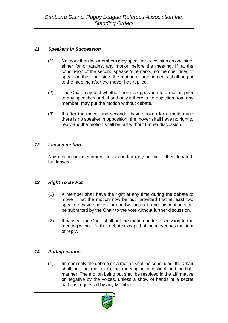#### *11. Speakers in Succession*

- (1) No more than two members may speak in succession on one side, either for or against any motion before the meeting. If, at the conclusion of the second speaker's remarks, no member rises to speak on the other side, the motion or amendments shall be put to the meeting after the mover has replied.
- (2) The Chair may test whether there is opposition to a motion prior to any speeches and, if and only if there is no objection from any member, may put the motion without debate.
- (3) If, after the mover and seconder have spoken for a motion and there is no speaker in opposition, the mover shall have no right to reply and the motion shall be put without further discussion.

#### *12. Lapsed motion*

Any motion or amendment not seconded may not be further debated, but lapses.

#### *13. Right To Be Put*

- (1) A member shall have the right at any time during the debate to move "That the motion now be put" provided that at least two speakers have spoken for and two against, and this motion shall be submitted by the Chair to the vote without further discussion.
- (2) If passed, the Chair shall put the motion under discussion to the meeting without further debate except that the mover has the right of reply.

#### *14. Putting motion*

(1) Immediately the debate on a motion shall be concluded, the Chair shall put the motion to the meeting in a distinct and audible manner. The motion being put shall be resolved in the affirmative or negative by the voices, unless a show of hands or a secret ballot is requested by any Member.

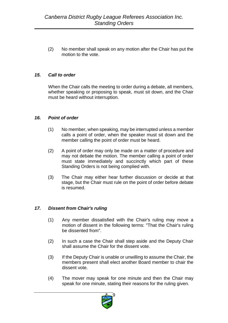(2) No member shall speak on any motion after the Chair has put the motion to the vote.

#### *15. Call to order*

When the Chair calls the meeting to order during a debate, all members, whether speaking or proposing to speak, must sit down, and the Chair must be heard without interruption.

#### *16. Point of order*

- (1) No member, when speaking, may be interrupted unless a member calls a point of order, when the speaker must sit down and the member calling the point of order must be heard.
- (2) A point of order may only be made on a matter of procedure and may not debate the motion. The member calling a point of order must state immediately and succinctly which part of these Standing Orders is not being complied with.
- (3) The Chair may either hear further discussion or decide at that stage, but the Chair must rule on the point of order before debate is resumed.

#### *17. Dissent from Chair's ruling*

- (1) Any member dissatisfied with the Chair's ruling may move a motion of dissent in the following terms: "That the Chair's ruling be dissented from".
- (2) In such a case the Chair shall step aside and the Deputy Chair shall assume the Chair for the dissent vote.
- (3) If the Deputy Chair is unable or unwilling to assume the Chair, the members present shall elect another Board member to chair the dissent vote.
- (4) The mover may speak for one minute and then the Chair may speak for one minute, stating their reasons for the ruling given.

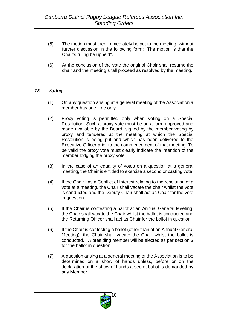- (5) The motion must then immediately be put to the meeting, without further discussion in the following form: "The motion is that the Chair's ruling be upheld".
- (6) At the conclusion of the vote the original Chair shall resume the chair and the meeting shall proceed as resolved by the meeting.

#### *18. Voting*

- (1) On any question arising at a general meeting of the Association a member has one vote only.
- (2) Proxy voting is permitted only when voting on a Special Resolution. Such a proxy vote must be on a form approved and made available by the Board, signed by the member voting by proxy and tendered at the meeting at which the Special Resolution is being put and which has been delivered to the Executive Officer prior to the commencement of that meeting. To be valid the proxy vote must clearly indicate the intention of the member lodging the proxy vote.
- (3) In the case of an equality of votes on a question at a general meeting, the Chair is entitled to exercise a second or casting vote.
- (4) If the Chair has a Conflict of Interest relating to the resolution of a vote at a meeting, the Chair shall vacate the chair whilst the vote is conducted and the Deputy Chair shall act as Chair for the vote in question.
- (5) If the Chair is contesting a ballot at an Annual General Meeting, the Chair shall vacate the Chair whilst the ballot is conducted and the Returning Officer shall act as Chair for the ballot in question.
- (6) If the Chair is contesting a ballot (other than at an Annual General Meeting), the Chair shall vacate the Chair whilst the ballot is conducted. A presiding member will be elected as per section 3 for the ballot in question.
- (7) A question arising at a general meeting of the Association is to be determined on a show of hands unless, before or on the declaration of the show of hands a secret ballot is demanded by any Member.

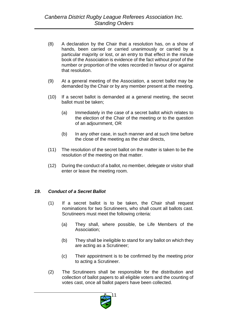- (8) A declaration by the Chair that a resolution has, on a show of hands, been carried or carried unanimously or carried by a particular majority or lost, or an entry to that effect in the minute book of the Association is evidence of the fact without proof of the number or proportion of the votes recorded in favour of or against that resolution.
- (9) At a general meeting of the Association, a secret ballot may be demanded by the Chair or by any member present at the meeting.
- (10) If a secret ballot is demanded at a general meeting, the secret ballot must be taken;
	- (a) Immediately in the case of a secret ballot which relates to the election of the Chair of the meeting or to the question of an adjournment, OR
	- (b) In any other case, in such manner and at such time before the close of the meeting as the chair directs,
- (11) The resolution of the secret ballot on the matter is taken to be the resolution of the meeting on that matter.
- (12) During the conduct of a ballot, no member, delegate or visitor shall enter or leave the meeting room.

#### *19. Conduct of a Secret Ballot*

- (1) If a secret ballot is to be taken, the Chair shall request nominations for two Scrutineers, who shall count all ballots cast. Scrutineers must meet the following criteria:
	- (a) They shall, where possible, be Life Members of the Association;
	- (b) They shall be ineligible to stand for any ballot on which they are acting as a Scrutineer;
	- (c) Their appointment is to be confirmed by the meeting prior to acting a Scrutineer.
- (2) The Scrutineers shall be responsible for the distribution and collection of ballot papers to all eligible voters and the counting of votes cast, once all ballot papers have been collected.

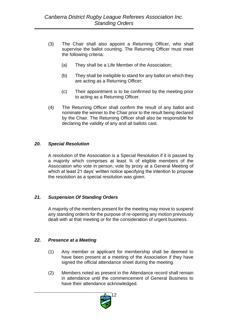- (3) The Chair shall also appoint a Returning Officer, who shall supervise the ballot counting. The Returning Officer must meet the following criteria:
	- (a) They shall be a Life Member of the Association;
	- (b) They shall be ineligible to stand for any ballot on which they are acting as a Returning Officer;
	- (c) Their appointment is to be confirmed by the meeting prior to acting as a Returning Officer.
- (4) The Returning Officer shall confirm the result of any ballot and nominate the winner to the Chair prior to the result being declared by the Chair. The Returning Officer shall also be responsible for declaring the validity of any and all ballots cast.

#### *20. Special Resolution*

A resolution of the Association is a Special Resolution if it is passed by a majority which comprises at least ¾ of eligible members of the Association who vote in person, vote by proxy at a General Meeting of which at least 21 days' written notice specifying the intention to propose the resolution as a special resolution was given.

#### *21. Suspension Of Standing Orders*

A majority of the members present for the meeting may move to suspend any standing order/s for the purpose of re-opening any motion previously dealt with at that meeting or for the consideration of urgent business.

#### *22. Presence at a Meeting*

- (1) Any member or applicant for membership shall be deemed to have been present at a meeting of the Association if they have signed the official attendance sheet during the meeting.
- (2) Members noted as present in the Attendance record shall remain in attendance until the commencement of General Business to have their attendance acknowledged.

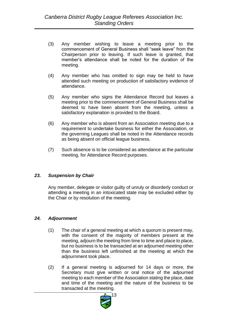- (3) Any member wishing to leave a meeting prior to the commencement of General Business shall "seek leave" from the Chairperson prior to leaving. If such leave is granted, that member's attendance shall be noted for the duration of the meeting.
- (4) Any member who has omitted to sign may be held to have attended such meeting on production of satisfactory evidence of attendance.
- (5) Any member who signs the Attendance Record but leaves a meeting prior to the commencement of General Business shall be deemed to have been absent from the meeting, unless a satisfactory explanation is provided to the Board.
- (6) Any member who is absent from an Association meeting due to a requirement to undertake business for either the Association, or the governing Leagues shall be noted in the Attendance records as being absent on official league business.
- (7) Such absence is to be considered as attendance at the particular meeting, for Attendance Record purposes.

#### *23. Suspension by Chair*

Any member, delegate or visitor guilty of unruly or disorderly conduct or attending a meeting in an intoxicated state may be excluded either by the Chair or by resolution of the meeting.

#### *24. Adjournment*

- (1) The chair of a general meeting at which a quorum is present may, with the consent of the majority of members present at the meeting, adjourn the meeting from time to time and place to place, but no business is to be transacted at an adjourned meeting other than the business left unfinished at the meeting at which the adjournment took place.
- (2) If a general meeting is adjourned for 14 days or more, the Secretary must give written or oral notice of the adjourned meeting to each member of the Association stating the place, date and time of the meeting and the nature of the business to be transacted at the meeting.

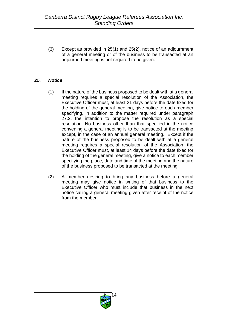(3) Except as provided in 25(1) and 25(2), notice of an adjournment of a general meeting or of the business to be transacted at an adjourned meeting is not required to be given.

#### *25. Notice*

- (1) If the nature of the business proposed to be dealt with at a general meeting requires a special resolution of the Association, the Executive Officer must, at least 21 days before the date fixed for the holding of the general meeting, give notice to each member specifying, in addition to the matter required under paragraph 27.2, the intention to propose the resolution as a special resolution. No business other than that specified in the notice convening a general meeting is to be transacted at the meeting except, in the case of an annual general meeting. Except if the nature of the business proposed to be dealt with at a general meeting requires a special resolution of the Association, the Executive Officer must, at least 14 days before the date fixed for the holding of the general meeting, give a notice to each member specifying the place, date and time of the meeting and the nature of the business proposed to be transacted at the meeting.
- (2) A member desiring to bring any business before a general meeting may give notice in writing of that business to the Executive Officer who must include that business in the next notice calling a general meeting given after receipt of the notice from the member.